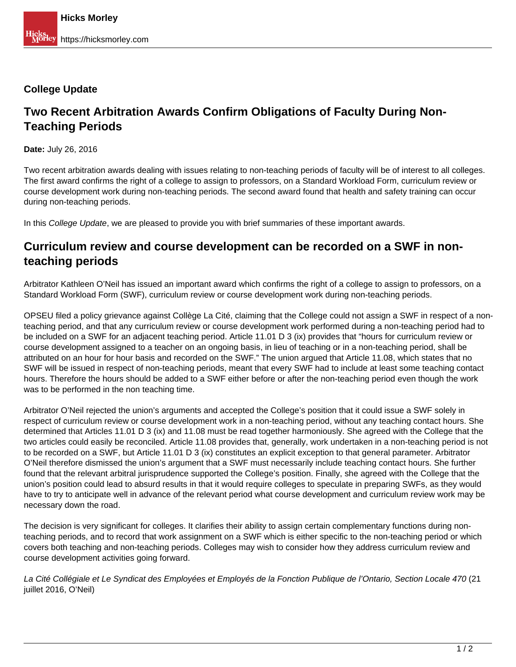## **College Update**

## **Two Recent Arbitration Awards Confirm Obligations of Faculty During Non-Teaching Periods**

**Date:** July 26, 2016

Two recent arbitration awards dealing with issues relating to non-teaching periods of faculty will be of interest to all colleges. The first award confirms the right of a college to assign to professors, on a Standard Workload Form, curriculum review or course development work during non-teaching periods. The second award found that health and safety training can occur during non-teaching periods.

In this College Update, we are pleased to provide you with brief summaries of these important awards.

## **Curriculum review and course development can be recorded on a SWF in nonteaching periods**

Arbitrator Kathleen O'Neil has issued an important award which confirms the right of a college to assign to professors, on a Standard Workload Form (SWF), curriculum review or course development work during non-teaching periods.

OPSEU filed a policy grievance against Collège La Cité, claiming that the College could not assign a SWF in respect of a nonteaching period, and that any curriculum review or course development work performed during a non-teaching period had to be included on a SWF for an adjacent teaching period. Article 11.01 D 3 (ix) provides that "hours for curriculum review or course development assigned to a teacher on an ongoing basis, in lieu of teaching or in a non-teaching period, shall be attributed on an hour for hour basis and recorded on the SWF." The union argued that Article 11.08, which states that no SWF will be issued in respect of non-teaching periods, meant that every SWF had to include at least some teaching contact hours. Therefore the hours should be added to a SWF either before or after the non-teaching period even though the work was to be performed in the non teaching time.

Arbitrator O'Neil rejected the union's arguments and accepted the College's position that it could issue a SWF solely in respect of curriculum review or course development work in a non-teaching period, without any teaching contact hours. She determined that Articles 11.01 D 3 (ix) and 11.08 must be read together harmoniously. She agreed with the College that the two articles could easily be reconciled. Article 11.08 provides that, generally, work undertaken in a non-teaching period is not to be recorded on a SWF, but Article 11.01 D 3 (ix) constitutes an explicit exception to that general parameter. Arbitrator O'Neil therefore dismissed the union's argument that a SWF must necessarily include teaching contact hours. She further found that the relevant arbitral jurisprudence supported the College's position. Finally, she agreed with the College that the union's position could lead to absurd results in that it would require colleges to speculate in preparing SWFs, as they would have to try to anticipate well in advance of the relevant period what course development and curriculum review work may be necessary down the road.

The decision is very significant for colleges. It clarifies their ability to assign certain complementary functions during nonteaching periods, and to record that work assignment on a SWF which is either specific to the non-teaching period or which covers both teaching and non-teaching periods. Colleges may wish to consider how they address curriculum review and course development activities going forward.

La Cité Collégiale et Le Syndicat des Employées et Employés de la Fonction Publique de l'Ontario, Section Locale 470 (21 iuillet 2016, O'Neil)